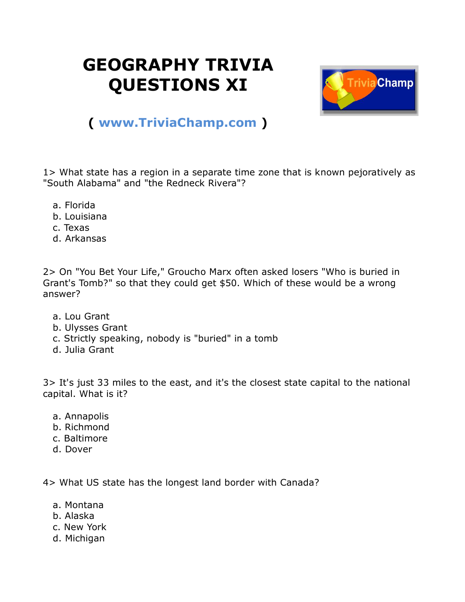## **GEOGRAPHY TRIVIA QUESTIONS XI**



## **( [www.TriviaChamp.com](http://www.triviachamp.com/) )**

1> What state has a region in a separate time zone that is known pejoratively as "South Alabama" and "the Redneck Rivera"?

- a. Florida
- b. Louisiana
- c. Texas
- d. Arkansas

2> On "You Bet Your Life," Groucho Marx often asked losers "Who is buried in Grant's Tomb?" so that they could get \$50. Which of these would be a wrong answer?

- a. Lou Grant
- b. Ulysses Grant
- c. Strictly speaking, nobody is "buried" in a tomb
- d. Julia Grant

3> It's just 33 miles to the east, and it's the closest state capital to the national capital. What is it?

- a. Annapolis
- b. Richmond
- c. Baltimore
- d. Dover

4> What US state has the longest land border with Canada?

- a. Montana
- b. Alaska
- c. New York
- d. Michigan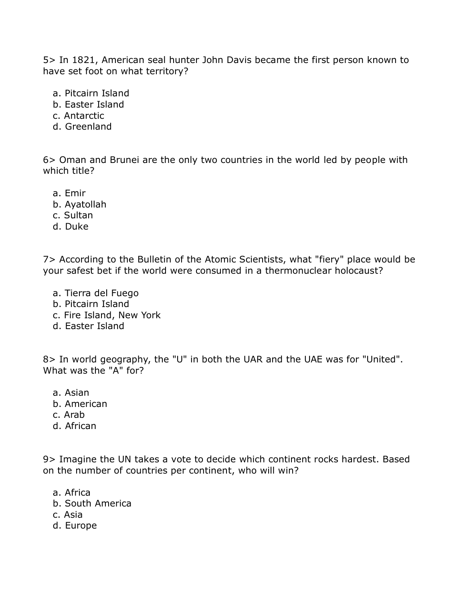5> In 1821, American seal hunter John Davis became the first person known to have set foot on what territory?

- a. Pitcairn Island
- b. Easter Island
- c. Antarctic
- d. Greenland

6> Oman and Brunei are the only two countries in the world led by people with which title?

- a. Emir
- b. Ayatollah
- c. Sultan
- d. Duke

7> According to the Bulletin of the Atomic Scientists, what "fiery" place would be your safest bet if the world were consumed in a thermonuclear holocaust?

- a. Tierra del Fuego
- b. Pitcairn Island
- c. Fire Island, New York
- d. Easter Island

8> In world geography, the "U" in both the UAR and the UAE was for "United". What was the "A" for?

- a. Asian
- b. American
- c. Arab
- d. African

9> Imagine the UN takes a vote to decide which continent rocks hardest. Based on the number of countries per continent, who will win?

- a. Africa
- b. South America
- c. Asia
- d. Europe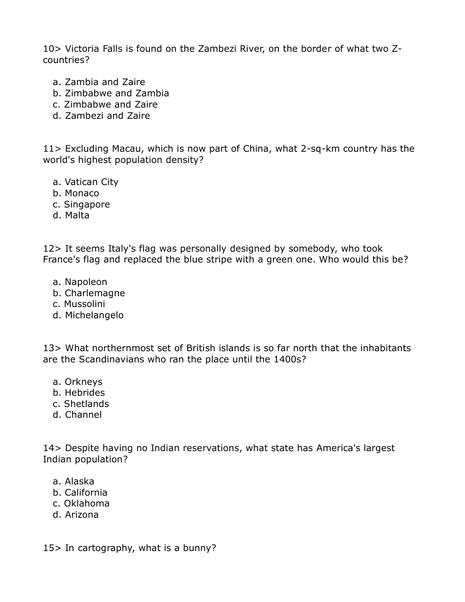10> Victoria Falls is found on the Zambezi River, on the border of what two Zcountries?

- a. Zambia and Zaire
- b. Zimbabwe and Zambia
- c. Zimbabwe and Zaire
- d. Zambezi and Zaire

11> Excluding Macau, which is now part of China, what 2-sq-km country has the world's highest population density?

- a. Vatican City
- b. Monaco
- c. Singapore
- d. Malta

12> It seems Italy's flag was personally designed by somebody, who took France's flag and replaced the blue stripe with a green one. Who would this be?

- a. Napoleon
- b. Charlemagne
- c. Mussolini
- d. Michelangelo

13> What northernmost set of British islands is so far north that the inhabitants are the Scandinavians who ran the place until the 1400s?

- a. Orkneys
- b. Hebrides
- c. Shetlands
- d. Channel

14> Despite having no Indian reservations, what state has America's largest Indian population?

- a. Alaska
- b. California
- c. Oklahoma
- d. Arizona

15> In cartography, what is a bunny?